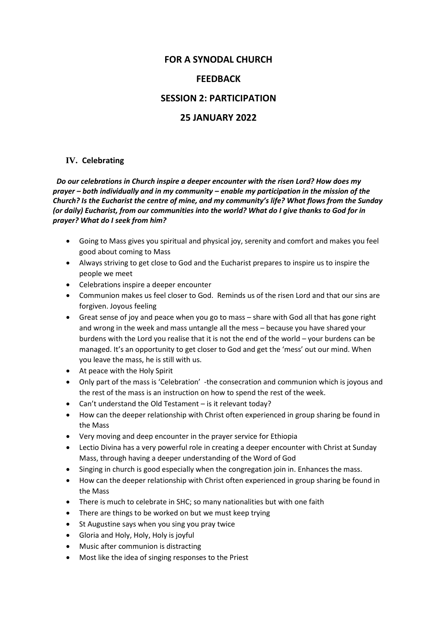### **FOR A SYNODAL CHURCH**

### **FEEDBACK**

### **SESSION 2: PARTICIPATION**

### **25 JANUARY 2022**

#### **IV. Celebrating**

 *Do our celebrations in Church inspire a deeper encounter with the risen Lord? How does my prayer – both individually and in my community – enable my participation in the mission of the Church? Is the Eucharist the centre of mine, and my community's life? What flows from the Sunday (or daily) Eucharist, from our communities into the world? What do I give thanks to God for in prayer? What do I seek from him?* 

- Going to Mass gives you spiritual and physical joy, serenity and comfort and makes you feel good about coming to Mass
- Always striving to get close to God and the Eucharist prepares to inspire us to inspire the people we meet
- Celebrations inspire a deeper encounter
- Communion makes us feel closer to God. Reminds us of the risen Lord and that our sins are forgiven. Joyous feeling
- Great sense of joy and peace when you go to mass share with God all that has gone right and wrong in the week and mass untangle all the mess – because you have shared your burdens with the Lord you realise that it is not the end of the world – your burdens can be managed. It's an opportunity to get closer to God and get the 'mess' out our mind. When you leave the mass, he is still with us.
- At peace with the Holy Spirit
- Only part of the mass is 'Celebration' -the consecration and communion which is joyous and the rest of the mass is an instruction on how to spend the rest of the week.
- Can't understand the Old Testament is it relevant today?
- How can the deeper relationship with Christ often experienced in group sharing be found in the Mass
- Very moving and deep encounter in the prayer service for Ethiopia
- Lectio Divina has a very powerful role in creating a deeper encounter with Christ at Sunday Mass, through having a deeper understanding of the Word of God
- Singing in church is good especially when the congregation join in. Enhances the mass.
- How can the deeper relationship with Christ often experienced in group sharing be found in the Mass
- There is much to celebrate in SHC; so many nationalities but with one faith
- There are things to be worked on but we must keep trying
- St Augustine says when you sing you pray twice
- Gloria and Holy, Holy, Holy is joyful
- Music after communion is distracting
- Most like the idea of singing responses to the Priest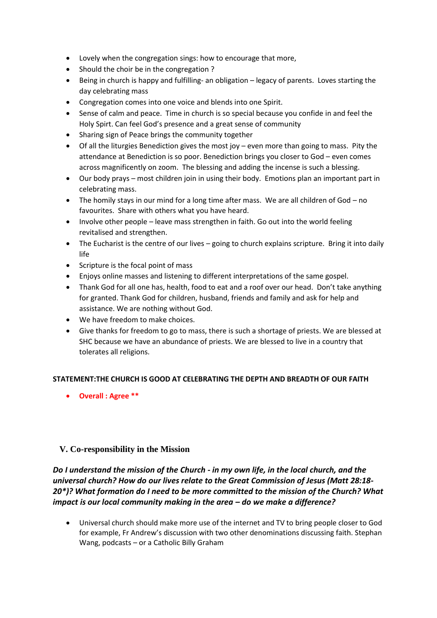- Lovely when the congregation sings: how to encourage that more,
- Should the choir be in the congregation ?
- Being in church is happy and fulfilling- an obligation legacy of parents. Loves starting the day celebrating mass
- Congregation comes into one voice and blends into one Spirit.
- Sense of calm and peace. Time in church is so special because you confide in and feel the Holy Spirt. Can feel God's presence and a great sense of community
- Sharing sign of Peace brings the community together
- Of all the liturgies Benediction gives the most joy even more than going to mass. Pity the attendance at Benediction is so poor. Benediction brings you closer to God – even comes across magnificently on zoom. The blessing and adding the incense is such a blessing.
- Our body prays most children join in using their body. Emotions plan an important part in celebrating mass.
- The homily stays in our mind for a long time after mass. We are all children of God no favourites. Share with others what you have heard.
- Involve other people leave mass strengthen in faith. Go out into the world feeling revitalised and strengthen.
- The Eucharist is the centre of our lives going to church explains scripture. Bring it into daily life
- Scripture is the focal point of mass
- Enjoys online masses and listening to different interpretations of the same gospel.
- Thank God for all one has, health, food to eat and a roof over our head. Don't take anything for granted. Thank God for children, husband, friends and family and ask for help and assistance. We are nothing without God.
- We have freedom to make choices.
- Give thanks for freedom to go to mass, there is such a shortage of priests. We are blessed at SHC because we have an abundance of priests. We are blessed to live in a country that tolerates all religions.

#### **STATEMENT:THE CHURCH IS GOOD AT CELEBRATING THE DEPTH AND BREADTH OF OUR FAITH**

• **Overall : Agree \*\***

### **V. Co-responsibility in the Mission**

*Do I understand the mission of the Church - in my own life, in the local church, and the universal church? How do our lives relate to the Great Commission of Jesus (Matt 28:18- 20\*)? What formation do I need to be more committed to the mission of the Church? What impact is our local community making in the area – do we make a difference?*

• Universal church should make more use of the internet and TV to bring people closer to God for example, Fr Andrew's discussion with two other denominations discussing faith. Stephan Wang, podcasts – or a Catholic Billy Graham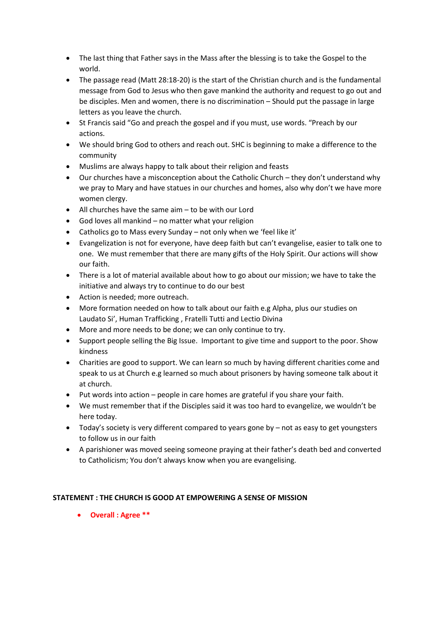- The last thing that Father says in the Mass after the blessing is to take the Gospel to the world.
- The passage read (Matt 28:18-20) is the start of the Christian church and is the fundamental message from God to Jesus who then gave mankind the authority and request to go out and be disciples. Men and women, there is no discrimination – Should put the passage in large letters as you leave the church.
- St Francis said "Go and preach the gospel and if you must, use words. "Preach by our actions.
- We should bring God to others and reach out. SHC is beginning to make a difference to the community
- Muslims are always happy to talk about their religion and feasts
- Our churches have a misconception about the Catholic Church they don't understand why we pray to Mary and have statues in our churches and homes, also why don't we have more women clergy.
- All churches have the same aim to be with our Lord
- God loves all mankind no matter what your religion
- Catholics go to Mass every Sunday not only when we 'feel like it'
- Evangelization is not for everyone, have deep faith but can't evangelise, easier to talk one to one. We must remember that there are many gifts of the Holy Spirit. Our actions will show our faith.
- There is a lot of material available about how to go about our mission; we have to take the initiative and always try to continue to do our best
- Action is needed; more outreach.
- More formation needed on how to talk about our faith e.g Alpha, plus our studies on Laudato Si', Human Trafficking , Fratelli Tutti and Lectio Divina
- More and more needs to be done; we can only continue to try.
- Support people selling the Big Issue. Important to give time and support to the poor. Show kindness
- Charities are good to support. We can learn so much by having different charities come and speak to us at Church e.g learned so much about prisoners by having someone talk about it at church.
- Put words into action people in care homes are grateful if you share your faith.
- We must remember that if the Disciples said it was too hard to evangelize, we wouldn't be here today.
- Today's society is very different compared to years gone by not as easy to get youngsters to follow us in our faith
- A parishioner was moved seeing someone praying at their father's death bed and converted to Catholicism; You don't always know when you are evangelising.

### **STATEMENT : THE CHURCH IS GOOD AT EMPOWERING A SENSE OF MISSION**

• **Overall : Agree \*\***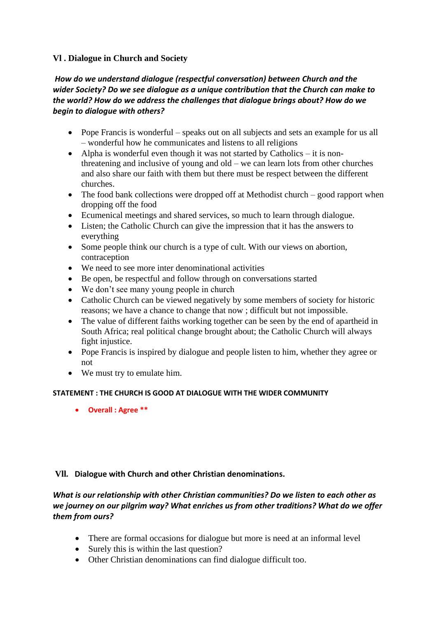# **Vl . Dialogue in Church and Society**

# *How do we understand dialogue (respectful conversation) between Church and the wider Society? Do we see dialogue as a unique contribution that the Church can make to the world? How do we address the challenges that dialogue brings about? How do we begin to dialogue with others?*

- Pope Francis is wonderful speaks out on all subjects and sets an example for us all – wonderful how he communicates and listens to all religions
- Alpha is wonderful even though it was not started by Catholics it is nonthreatening and inclusive of young and old – we can learn lots from other churches and also share our faith with them but there must be respect between the different churches.
- The food bank collections were dropped off at Methodist church good rapport when dropping off the food
- Ecumenical meetings and shared services, so much to learn through dialogue.
- Listen; the Catholic Church can give the impression that it has the answers to everything
- Some people think our church is a type of cult. With our views on abortion, contraception
- We need to see more inter denominational activities
- Be open, be respectful and follow through on conversations started
- We don't see many young people in church
- Catholic Church can be viewed negatively by some members of society for historic reasons; we have a chance to change that now ; difficult but not impossible.
- The value of different faiths working together can be seen by the end of apartheid in South Africa; real political change brought about; the Catholic Church will always fight injustice.
- Pope Francis is inspired by dialogue and people listen to him, whether they agree or not
- We must try to emulate him.

### **STATEMENT : THE CHURCH IS GOOD AT DIALOGUE WITH THE WIDER COMMUNITY**

• **Overall : Agree \*\***

### **Vll***.* **Dialogue with Church and other Christian denominations.**

# *What is our relationship with other Christian communities? Do we listen to each other as we journey on our pilgrim way? What enriches us from other traditions? What do we offer them from ours?*

- There are formal occasions for dialogue but more is need at an informal level
- Surely this is within the last question?
- Other Christian denominations can find dialogue difficult too.